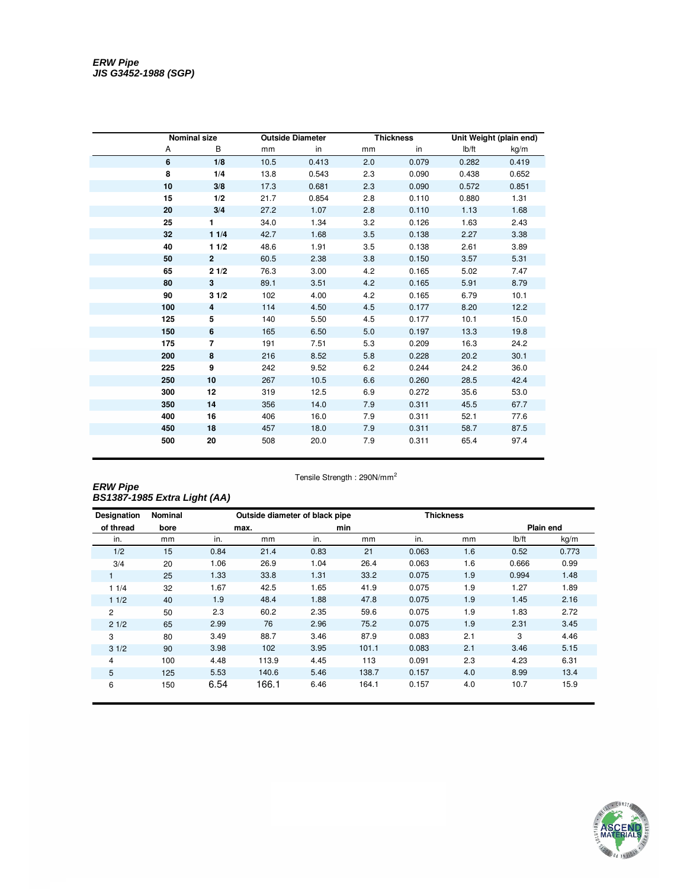|     | <b>Nominal size</b> |      | <b>Outside Diameter</b> |     | <b>Thickness</b> | Unit Weight (plain end) |       |  |
|-----|---------------------|------|-------------------------|-----|------------------|-------------------------|-------|--|
| А   | B                   | mm   | in                      | mm  | in               | Ib/ft                   | kg/m  |  |
| 6   | 1/8                 | 10.5 | 0.413                   | 2.0 | 0.079            | 0.282                   | 0.419 |  |
| 8   | 1/4                 | 13.8 | 0.543                   | 2.3 | 0.090            | 0.438                   | 0.652 |  |
| 10  | 3/8                 | 17.3 | 0.681                   | 2.3 | 0.090            | 0.572                   | 0.851 |  |
| 15  | 1/2                 | 21.7 | 0.854                   | 2.8 | 0.110            | 0.880                   | 1.31  |  |
| 20  | 3/4                 | 27.2 | 1.07                    | 2.8 | 0.110            | 1.13                    | 1.68  |  |
| 25  | $\mathbf{1}$        | 34.0 | 1.34                    | 3.2 | 0.126            | 1.63                    | 2.43  |  |
| 32  | 11/4                | 42.7 | 1.68                    | 3.5 | 0.138            | 2.27                    | 3.38  |  |
| 40  | 11/2                | 48.6 | 1.91                    | 3.5 | 0.138            | 2.61                    | 3.89  |  |
| 50  | $\overline{2}$      | 60.5 | 2.38                    | 3.8 | 0.150            | 3.57                    | 5.31  |  |
| 65  | 21/2                | 76.3 | 3.00                    | 4.2 | 0.165            | 5.02                    | 7.47  |  |
| 80  | 3                   | 89.1 | 3.51                    | 4.2 | 0.165            | 5.91                    | 8.79  |  |
| 90  | 31/2                | 102  | 4.00                    | 4.2 | 0.165            | 6.79                    | 10.1  |  |
| 100 | 4                   | 114  | 4.50                    | 4.5 | 0.177            | 8.20                    | 12.2  |  |
| 125 | 5                   | 140  | 5.50                    | 4.5 | 0.177            | 10.1                    | 15.0  |  |
| 150 | 6                   | 165  | 6.50                    | 5.0 | 0.197            | 13.3                    | 19.8  |  |
| 175 | $\overline{7}$      | 191  | 7.51                    | 5.3 | 0.209            | 16.3                    | 24.2  |  |
| 200 | 8                   | 216  | 8.52                    | 5.8 | 0.228            | 20.2                    | 30.1  |  |
| 225 | 9                   | 242  | 9.52                    | 6.2 | 0.244            | 24.2                    | 36.0  |  |
| 250 | 10                  | 267  | 10.5                    | 6.6 | 0.260            | 28.5                    | 42.4  |  |
| 300 | 12                  | 319  | 12.5                    | 6.9 | 0.272            | 35.6                    | 53.0  |  |
| 350 | 14                  | 356  | 14.0                    | 7.9 | 0.311            | 45.5                    | 67.7  |  |
| 400 | 16                  | 406  | 16.0                    | 7.9 | 0.311            | 52.1                    | 77.6  |  |
| 450 | 18                  | 457  | 18.0                    | 7.9 | 0.311            | 58.7                    | 87.5  |  |
| 500 | 20                  | 508  | 20.0                    | 7.9 | 0.311            | 65.4                    | 97.4  |  |

## ERW Pipe<br>BS1387-1985 Extra Light (AA)

| <b>Designation</b> | Nominal |      |       | Outside diameter of black pipe |       | <b>Thickness</b> |     |               |           |
|--------------------|---------|------|-------|--------------------------------|-------|------------------|-----|---------------|-----------|
| of thread          | bore    |      | max.  |                                | min   |                  |     |               | Plain end |
| in.                | mm      | in.  | mm    | in.                            | mm    | in.              | mm  | $I\bar{b}/ft$ | kg/m      |
| 1/2                | 15      | 0.84 | 21.4  | 0.83                           | 21    | 0.063            | 1.6 | 0.52          | 0.773     |
| 3/4                | 20      | 1.06 | 26.9  | 1.04                           | 26.4  | 0.063            | 1.6 | 0.666         | 0.99      |
|                    | 25      | 1.33 | 33.8  | 1.31                           | 33.2  | 0.075            | 1.9 | 0.994         | 1.48      |
| 11/4               | 32      | 1.67 | 42.5  | 1.65                           | 41.9  | 0.075            | 1.9 | 1.27          | 1.89      |
| 11/2               | 40      | 1.9  | 48.4  | 1.88                           | 47.8  | 0.075            | 1.9 | 1.45          | 2.16      |
| 2                  | 50      | 2.3  | 60.2  | 2.35                           | 59.6  | 0.075            | 1.9 | 1.83          | 2.72      |
| 21/2               | 65      | 2.99 | 76    | 2.96                           | 75.2  | 0.075            | 1.9 | 2.31          | 3.45      |
| 3                  | 80      | 3.49 | 88.7  | 3.46                           | 87.9  | 0.083            | 2.1 | 3             | 4.46      |
| 31/2               | 90      | 3.98 | 102   | 3.95                           | 101.1 | 0.083            | 2.1 | 3.46          | 5.15      |
| 4                  | 100     | 4.48 | 113.9 | 4.45                           | 113   | 0.091            | 2.3 | 4.23          | 6.31      |
| 5                  | 125     | 5.53 | 140.6 | 5.46                           | 138.7 | 0.157            | 4.0 | 8.99          | 13.4      |
| 6                  | 150     | 6.54 | 166.1 | 6.46                           | 164.1 | 0.157            | 4.0 | 10.7          | 15.9      |

Tensile Strength: 290N/mm<sup>2</sup>

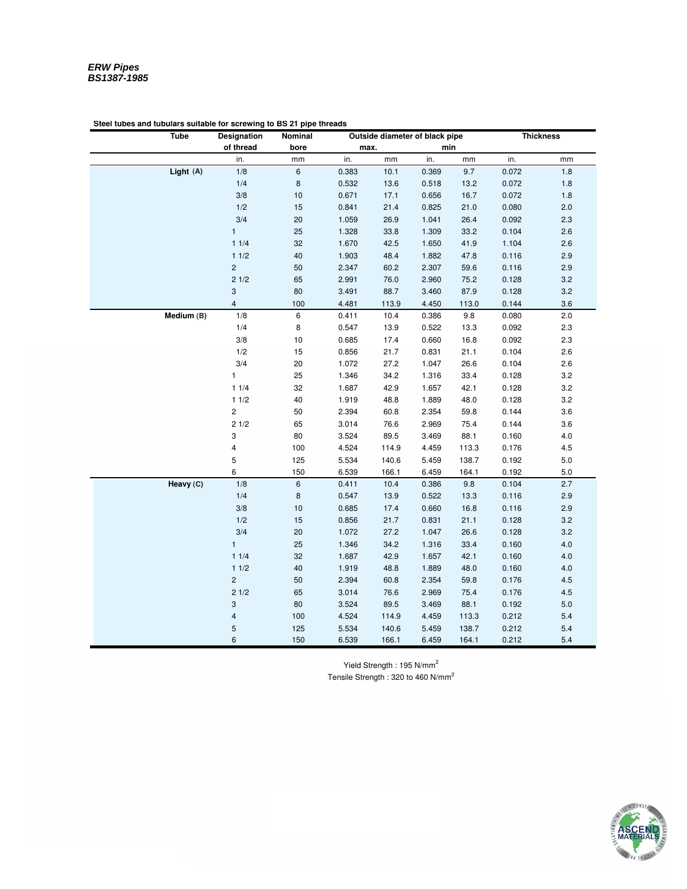| Tube       | Designation             | Nominal        | Outside diameter of black pipe |       |       |       | <b>Thickness</b> |         |
|------------|-------------------------|----------------|--------------------------------|-------|-------|-------|------------------|---------|
|            | of thread               | bore           | max.                           |       | min   |       |                  |         |
|            | in.                     | mm             | in.                            | mm    | in.   | mm    | in.              | mm      |
| Light (A)  | 1/8                     | 6              | 0.383                          | 10.1  | 0.369 | 9.7   | 0.072            | 1.8     |
|            | 1/4                     | 8              | 0.532                          | 13.6  | 0.518 | 13.2  | 0.072            | $1.8\,$ |
|            | 3/8                     | 10             | 0.671                          | 17.1  | 0.656 | 16.7  | 0.072            | 1.8     |
|            | 1/2                     | 15             | 0.841                          | 21.4  | 0.825 | 21.0  | 0.080            | 2.0     |
|            | 3/4                     | 20             | 1.059                          | 26.9  | 1.041 | 26.4  | 0.092            | 2.3     |
|            | $\mathbf{1}$            | 25             | 1.328                          | 33.8  | 1.309 | 33.2  | 0.104            | 2.6     |
|            | 11/4                    | 32             | 1.670                          | 42.5  | 1.650 | 41.9  | 1.104            | 2.6     |
|            | 11/2                    | 40             | 1.903                          | 48.4  | 1.882 | 47.8  | 0.116            | 2.9     |
|            | $\overline{c}$          | 50             | 2.347                          | 60.2  | 2.307 | 59.6  | 0.116            | 2.9     |
|            | 21/2                    | 65             | 2.991                          | 76.0  | 2.960 | 75.2  | 0.128            | 3.2     |
|            | 3                       | 80             | 3.491                          | 88.7  | 3.460 | 87.9  | 0.128            | 3.2     |
|            | $\overline{4}$          | 100            | 4.481                          | 113.9 | 4.450 | 113.0 | 0.144            | 3.6     |
| Medium (B) | 1/8                     | 6              | 0.411                          | 10.4  | 0.386 | 9.8   | 0.080            | 2.0     |
|            | 1/4                     | $\bf 8$        | 0.547                          | 13.9  | 0.522 | 13.3  | 0.092            | 2.3     |
|            | 3/8                     | $10$           | 0.685                          | 17.4  | 0.660 | 16.8  | 0.092            | 2.3     |
|            | 1/2                     | 15             | 0.856                          | 21.7  | 0.831 | 21.1  | 0.104            | 2.6     |
|            | 3/4                     | 20             | 1.072                          | 27.2  | 1.047 | 26.6  | 0.104            | 2.6     |
|            | 1                       | 25             | 1.346                          | 34.2  | 1.316 | 33.4  | 0.128            | 3.2     |
|            | 11/4                    | 32             | 1.687                          | 42.9  | 1.657 | 42.1  | 0.128            | 3.2     |
|            | 11/2                    | 40             | 1.919                          | 48.8  | 1.889 | 48.0  | 0.128            | 3.2     |
|            | $\overline{\mathbf{c}}$ | 50             | 2.394                          | 60.8  | 2.354 | 59.8  | 0.144            | 3.6     |
|            | 21/2                    | 65             | 3.014                          | 76.6  | 2.969 | 75.4  | 0.144            | 3.6     |
|            | 3                       | 80             | 3.524                          | 89.5  | 3.469 | 88.1  | 0.160            | 4.0     |
|            | 4                       | 100            | 4.524                          | 114.9 | 4.459 | 113.3 | 0.176            | 4.5     |
|            | 5                       | 125            | 5.534                          | 140.6 | 5.459 | 138.7 | 0.192            | 5.0     |
|            | 6                       | 150            | 6.539                          | 166.1 | 6.459 | 164.1 | 0.192            | 5.0     |
| Heavy (C)  | 1/8                     | $6\phantom{a}$ | 0.411                          | 10.4  | 0.386 | 9.8   | 0.104            | 2.7     |
|            | 1/4                     | 8              | 0.547                          | 13.9  | 0.522 | 13.3  | 0.116            | 2.9     |
|            | 3/8                     | $10$           | 0.685                          | 17.4  | 0.660 | 16.8  | 0.116            | 2.9     |
|            | 1/2                     | 15             | 0.856                          | 21.7  | 0.831 | 21.1  | 0.128            | 3.2     |
|            | 3/4                     | 20             | 1.072                          | 27.2  | 1.047 | 26.6  | 0.128            | 3.2     |
|            | $\mathbf{1}$            | 25             | 1.346                          | 34.2  | 1.316 | 33.4  | 0.160            | 4.0     |
|            | 11/4                    | 32             | 1.687                          | 42.9  | 1.657 | 42.1  | 0.160            | $4.0$   |
|            | 11/2                    | 40             | 1.919                          | 48.8  | 1.889 | 48.0  | 0.160            | $4.0$   |
|            | $\overline{c}$          | 50             | 2.394                          | 60.8  | 2.354 | 59.8  | 0.176            | $4.5\,$ |
|            | 21/2                    | 65             | 3.014                          | 76.6  | 2.969 | 75.4  | 0.176            | 4.5     |
|            | 3                       | $80\,$         | 3.524                          | 89.5  | 3.469 | 88.1  | 0.192            | $5.0\,$ |
|            | $\overline{\mathbf{4}}$ | 100            | 4.524                          | 114.9 | 4.459 | 113.3 | 0.212            | 5.4     |
|            | 5                       | 125            | 5.534                          | 140.6 | 5.459 | 138.7 | 0.212            | 5.4     |
|            | 6                       | 150            | 6.539                          | 166.1 | 6.459 | 164.1 | 0.212            | 5.4     |

## **Steel tubes and tubulars suitable for screwing to BS 21 pipe threads**

Yield Strength : 195 N/mm<sup>2</sup> Tensile Strength : 320 to 460 N/mm<sup>2</sup>